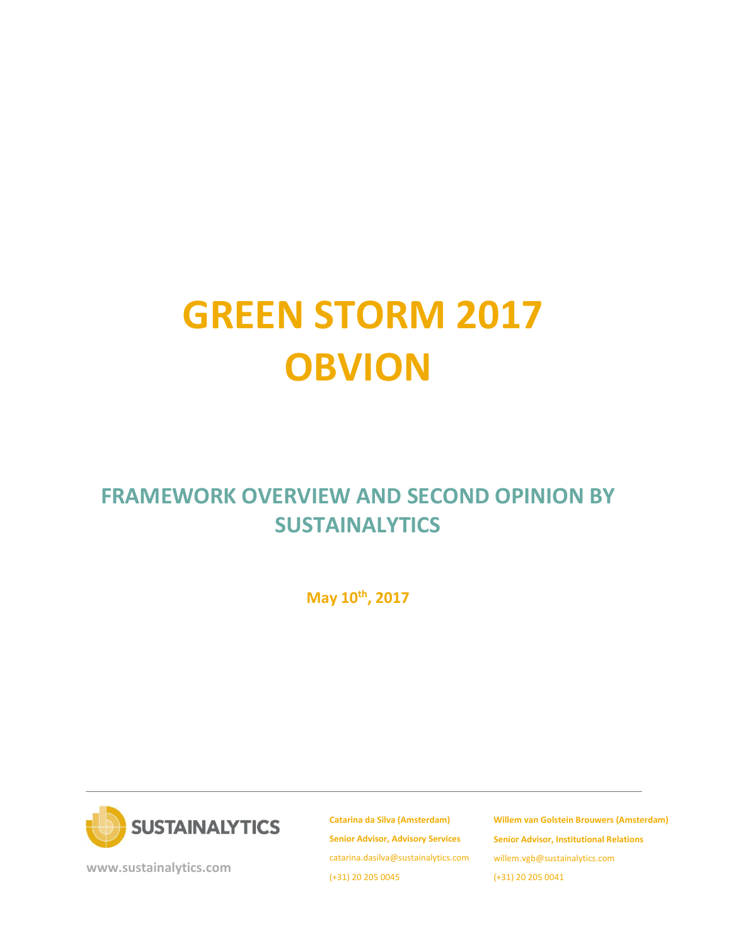# **GREEN STORM 2017 OBVION**

# **FRAMEWORK OVERVIEW AND SECOND OPINION BY SUSTAINALYTICS**

**May 10th, 2017**



**[www.sustainalytics.com](http://www.sustainalytics.com/)**

**Catarina da Silva (Amsterdam) Senior Advisor, Advisory Services** catarina.dasilva@sustainalytics.com (+31) 20 205 0045

**Willem van Golstein Brouwers (Amsterdam) Senior Advisor, Institutional Relations** willem.vgb@sustainalytics.com (+31) 20 205 0041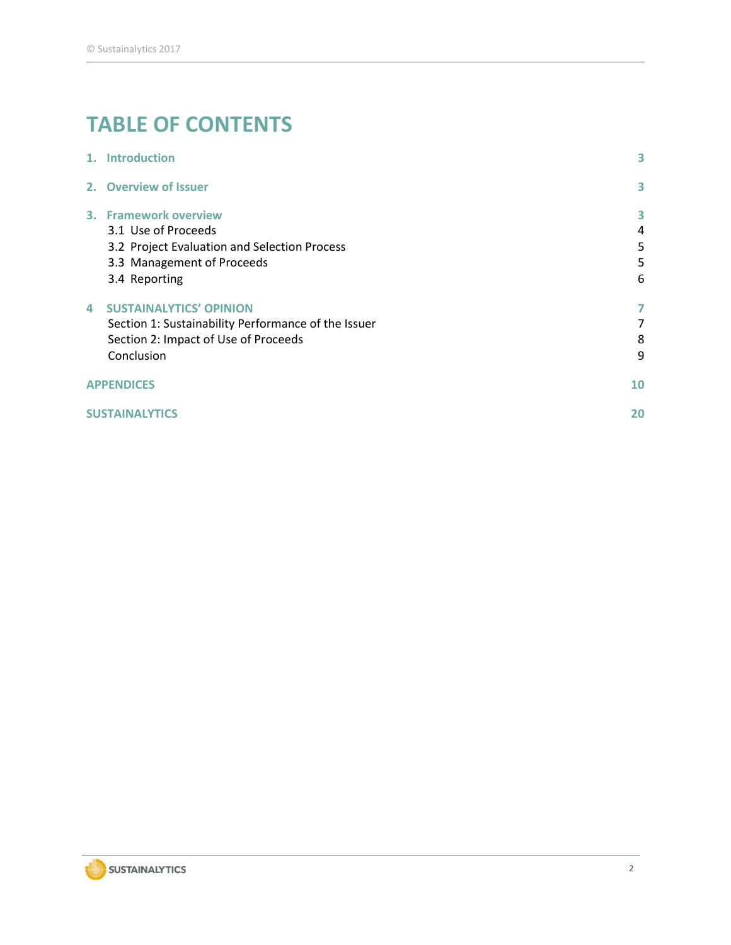# **TABLE OF CONTENTS**

|                | 1. Introduction                                                                                                                             | 3                     |
|----------------|---------------------------------------------------------------------------------------------------------------------------------------------|-----------------------|
|                | 2. Overview of Issuer                                                                                                                       | 3                     |
|                | 3. Framework overview<br>3.1 Use of Proceeds<br>3.2 Project Evaluation and Selection Process<br>3.3 Management of Proceeds<br>3.4 Reporting | 3<br>4<br>5<br>5<br>6 |
| $\overline{a}$ | <b>SUSTAINALYTICS' OPINION</b><br>Section 1: Sustainability Performance of the Issuer<br>Section 2: Impact of Use of Proceeds<br>Conclusion | 7<br>7<br>8<br>9      |
|                | <b>APPENDICES</b>                                                                                                                           | 10                    |
|                | <b>SUSTAINALYTICS</b>                                                                                                                       | 20                    |

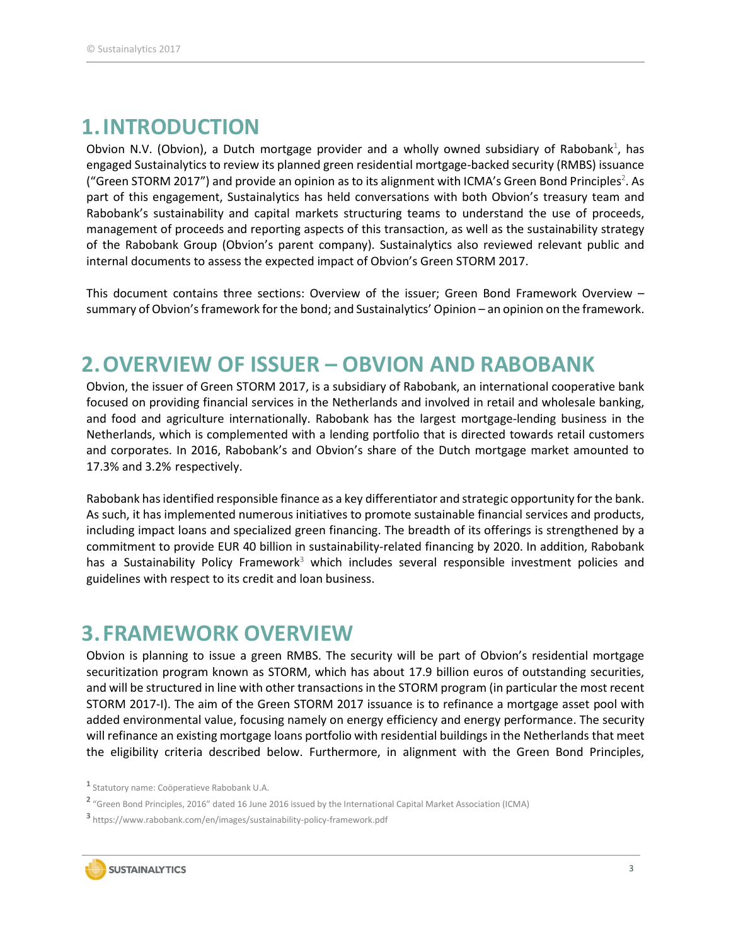### <span id="page-2-0"></span>**1.INTRODUCTION**

Obvion N.V. (Obvion), a Dutch mortgage provider and a wholly owned subsidiary of Rabobank<sup>1</sup>, has engaged Sustainalytics to review its planned green residential mortgage-backed security (RMBS) issuance ("Green STORM 2017") and provide an opinion as to its alignment with ICMA's Green Bond Principles<sup>2</sup>. As part of this engagement, Sustainalytics has held conversations with both Obvion's treasury team and Rabobank's sustainability and capital markets structuring teams to understand the use of proceeds, management of proceeds and reporting aspects of this transaction, as well as the sustainability strategy of the Rabobank Group (Obvion's parent company). Sustainalytics also reviewed relevant public and internal documents to assess the expected impact of Obvion's Green STORM 2017.

This document contains three sections: Overview of the issuer; Green Bond Framework Overview – summary of Obvion's framework for the bond; and Sustainalytics' Opinion – an opinion on the framework.

### <span id="page-2-1"></span>**2.OVERVIEW OF ISSUER – OBVION AND RABOBANK**

Obvion, the issuer of Green STORM 2017, is a subsidiary of Rabobank, an international cooperative bank focused on providing financial services in the Netherlands and involved in retail and wholesale banking, and food and agriculture internationally. Rabobank has the largest mortgage-lending business in the Netherlands, which is complemented with a lending portfolio that is directed towards retail customers and corporates. In 2016, Rabobank's and Obvion's share of the Dutch mortgage market amounted to 17.3% and 3.2% respectively.

Rabobank has identified responsible finance as a key differentiator and strategic opportunity for the bank. As such, it has implemented numerous initiatives to promote sustainable financial services and products, including impact loans and specialized green financing. The breadth of its offerings is strengthened by a commitment to provide EUR 40 billion in sustainability-related financing by 2020. In addition, Rabobank has a Sustainability Policy Framework<sup>3</sup> which includes several responsible investment policies and guidelines with respect to its credit and loan business.

### <span id="page-2-2"></span>**3. FRAMEWORK OVERVIEW**

Obvion is planning to issue a green RMBS. The security will be part of Obvion's residential mortgage securitization program known as STORM, which has about 17.9 billion euros of outstanding securities, and will be structured in line with other transactions in the STORM program (in particular the most recent STORM 2017-I). The aim of the Green STORM 2017 issuance is to refinance a mortgage asset pool with added environmental value, focusing namely on energy efficiency and energy performance. The security will refinance an existing mortgage loans portfolio with residential buildings in the Netherlands that meet the eligibility criteria described below. Furthermore, in alignment with the Green Bond Principles,

**<sup>3</sup>** https://www.rabobank.com/en/images/sustainability-policy-framework.pdf



**<sup>1</sup>** Statutory name: Coöperatieve Rabobank U.A.

**<sup>2</sup>** "Green Bond Principles, 2016" dated 16 June 2016 issued by the International Capital Market Association (ICMA)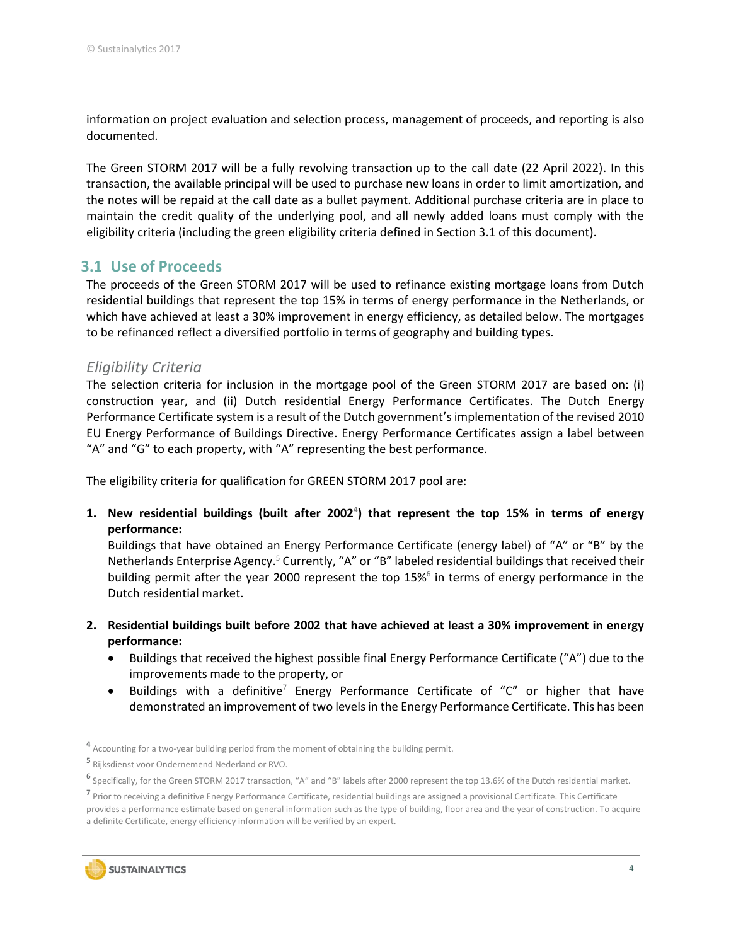information on project evaluation and selection process, management of proceeds, and reporting is also documented.

The Green STORM 2017 will be a fully revolving transaction up to the call date (22 April 2022). In this transaction, the available principal will be used to purchase new loans in order to limit amortization, and the notes will be repaid at the call date as a bullet payment. Additional purchase criteria are in place to maintain the credit quality of the underlying pool, and all newly added loans must comply with the eligibility criteria (including the green eligibility criteria defined in Section 3.1 of this document).

### <span id="page-3-0"></span>**3.1 Use of Proceeds**

The proceeds of the Green STORM 2017 will be used to refinance existing mortgage loans from Dutch residential buildings that represent the top 15% in terms of energy performance in the Netherlands, or which have achieved at least a 30% improvement in energy efficiency, as detailed below. The mortgages to be refinanced reflect a diversified portfolio in terms of geography and building types.

### *Eligibility Criteria*

The selection criteria for inclusion in the mortgage pool of the Green STORM 2017 are based on: (i) construction year, and (ii) Dutch residential Energy Performance Certificates. The Dutch Energy Performance Certificate system is a result of the Dutch government's implementation of the revised 2010 EU Energy Performance of Buildings Directive. Energy Performance Certificates assign a label between "A" and "G" to each property, with "A" representing the best performance.

The eligibility criteria for qualification for GREEN STORM 2017 pool are:

**1. New residential buildings (built after 2002<sup>4</sup> ) that represent the top 15% in terms of energy performance:**

Buildings that have obtained an Energy Performance Certificate (energy label) of "A" or "B" by the Netherlands Enterprise Agency.<sup>5</sup> Currently, "A" or "B" labeled residential buildings that received their building permit after the year 2000 represent the top 15%<sup>6</sup> in terms of energy performance in the Dutch residential market.

- **2. Residential buildings built before 2002 that have achieved at least a 30% improvement in energy performance:**
	- Buildings that received the highest possible final Energy Performance Certificate ("A") due to the improvements made to the property, or
	- Buildings with a definitive<sup>7</sup> Energy Performance Certificate of "C" or higher that have demonstrated an improvement of two levels in the Energy Performance Certificate. This has been

**5** Rijksdienst voor Ondernemend Nederland or RVO.

**<sup>7</sup>** Prior to receiving a definitive Energy Performance Certificate, residential buildings are assigned a provisional Certificate. This Certificate provides a performance estimate based on general information such as the type of building, floor area and the year of construction. To acquire a definite Certificate, energy efficiency information will be verified by an expert.



**<sup>4</sup>** Accounting for a two-year building period from the moment of obtaining the building permit.

**<sup>6</sup>** Specifically, for the Green STORM 2017 transaction, "A" and "B" labels after 2000 represent the top 13.6% of the Dutch residential market.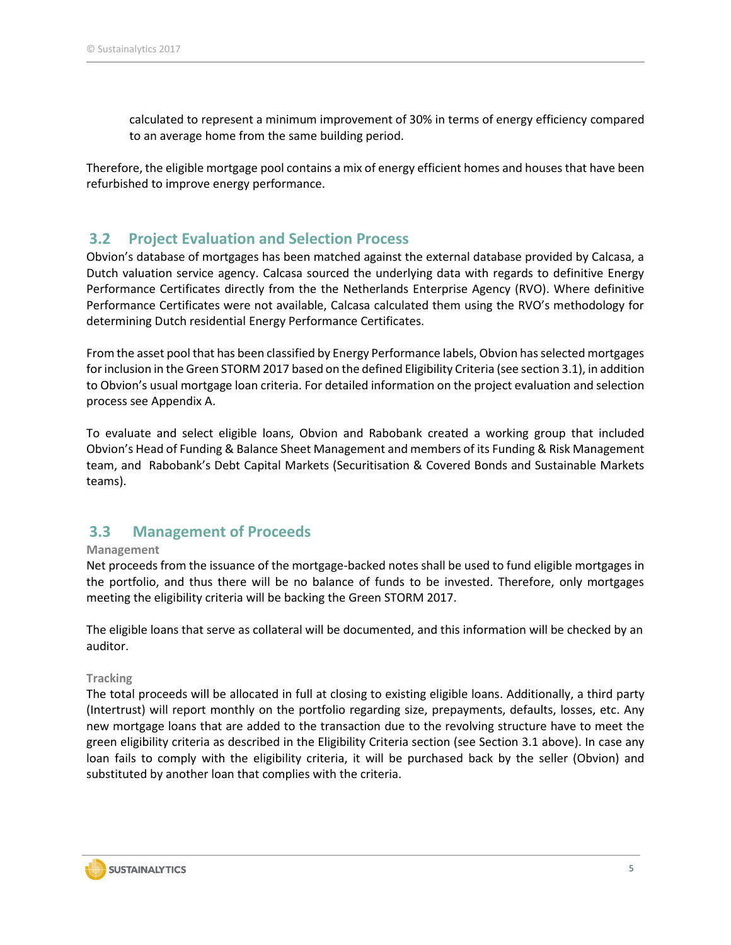calculated to represent a minimum improvement of 30% in terms of energy efficiency compared to an average home from the same building period.

Therefore, the eligible mortgage pool contains a mix of energy efficient homes and houses that have been refurbished to improve energy performance.

### <span id="page-4-0"></span>**3.2 Project Evaluation and Selection Process**

Obvion's database of mortgages has been matched against the external database provided by Calcasa, a Dutch valuation service agency. Calcasa sourced the underlying data with regards to definitive Energy Performance Certificates directly from the the Netherlands Enterprise Agency (RVO). Where definitive Performance Certificates were not available, Calcasa calculated them using the RVO's methodology for determining Dutch residential Energy Performance Certificates.

From the asset pool that has been classified by Energy Performance labels, Obvion hasselected mortgages for inclusion in the Green STORM 2017 based on the defined Eligibility Criteria (see section 3.1), in addition to Obvion's usual mortgage loan criteria. For detailed information on the project evaluation and selection process see Appendix A.

To evaluate and select eligible loans, Obvion and Rabobank created a working group that included Obvion's Head of Funding & Balance Sheet Management and members of its Funding & Risk Management team, and Rabobank's Debt Capital Markets (Securitisation & Covered Bonds and Sustainable Markets teams).

### <span id="page-4-1"></span>**3.3 Management of Proceeds**

#### **Management**

Net proceeds from the issuance of the mortgage-backed notes shall be used to fund eligible mortgages in the portfolio, and thus there will be no balance of funds to be invested. Therefore, only mortgages meeting the eligibility criteria will be backing the Green STORM 2017.

The eligible loans that serve as collateral will be documented, and this information will be checked by an auditor.

#### **Tracking**

The total proceeds will be allocated in full at closing to existing eligible loans. Additionally, a third party (Intertrust) will report monthly on the portfolio regarding size, prepayments, defaults, losses, etc. Any new mortgage loans that are added to the transaction due to the revolving structure have to meet the green eligibility criteria as described in the Eligibility Criteria section (see Section 3.1 above). In case any loan fails to comply with the eligibility criteria, it will be purchased back by the seller (Obvion) and substituted by another loan that complies with the criteria.

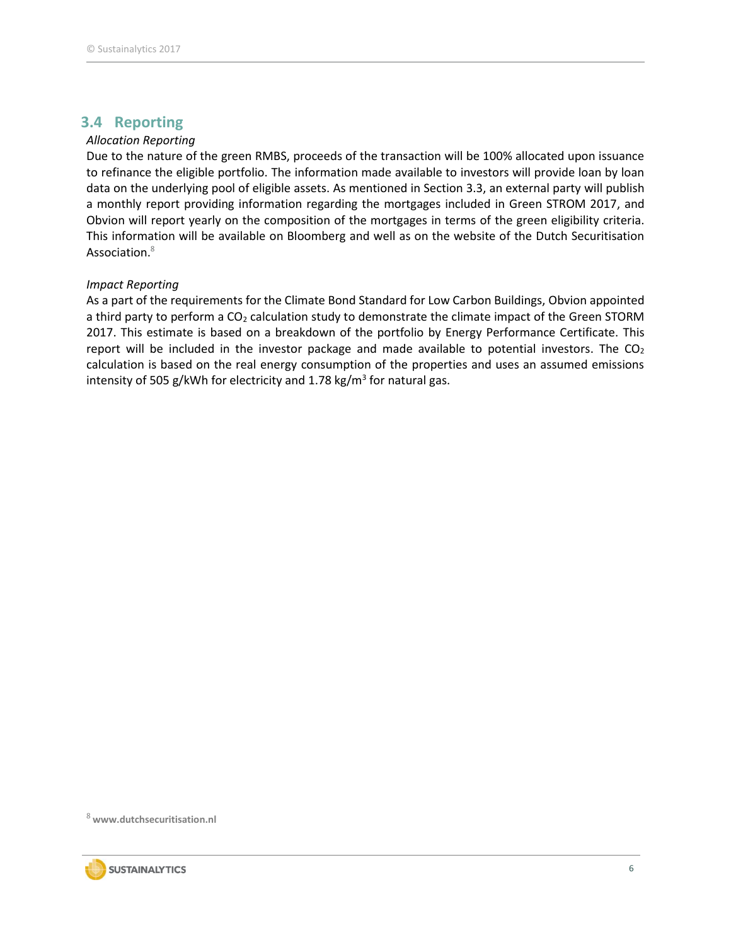### <span id="page-5-0"></span>**3.4 Reporting**

### *Allocation Reporting*

Due to the nature of the green RMBS, proceeds of the transaction will be 100% allocated upon issuance to refinance the eligible portfolio. The information made available to investors will provide loan by loan data on the underlying pool of eligible assets. As mentioned in Section 3.3, an external party will publish a monthly report providing information regarding the mortgages included in Green STROM 2017, and Obvion will report yearly on the composition of the mortgages in terms of the green eligibility criteria. This information will be available on Bloomberg and well as on the website of the Dutch Securitisation Association.<sup>8</sup>

### *Impact Reporting*

As a part of the requirements for the Climate Bond Standard for Low Carbon Buildings, Obvion appointed a third party to perform a CO<sub>2</sub> calculation study to demonstrate the climate impact of the Green STORM 2017. This estimate is based on a breakdown of the portfolio by Energy Performance Certificate. This report will be included in the investor package and made available to potential investors. The  $CO<sub>2</sub>$ calculation is based on the real energy consumption of the properties and uses an assumed emissions intensity of 505 g/kWh for electricity and 1.78 kg/m<sup>3</sup> for natural gas.

<sup>8</sup> **[www.dutchsecuritisation.nl](http://www.dutchsecuritisation.nl/)**

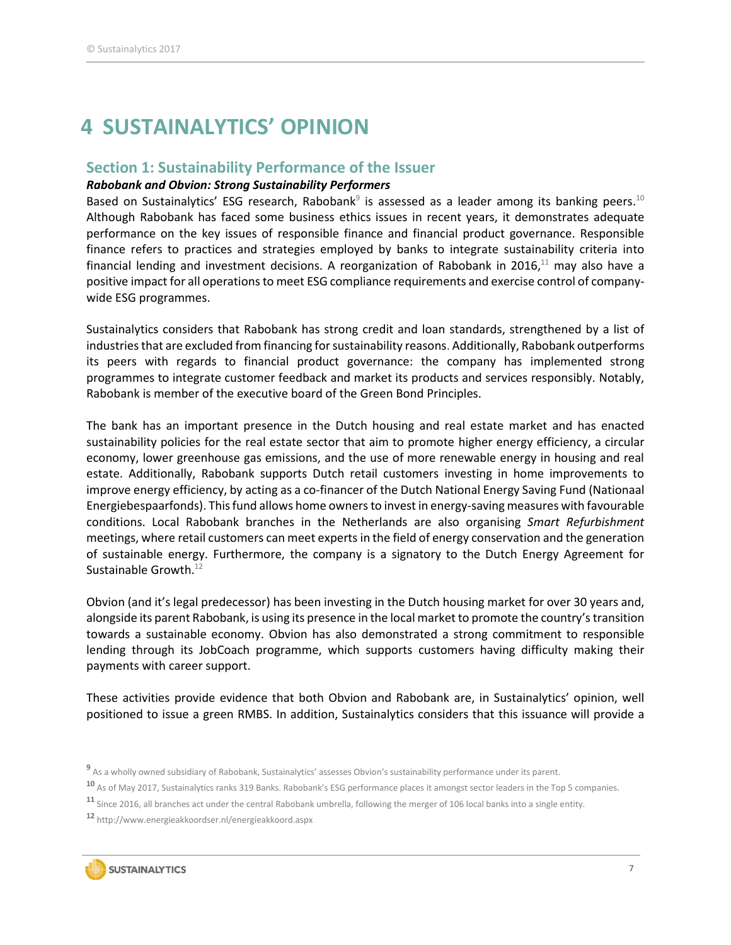## <span id="page-6-0"></span>**4 SUSTAINALYTICS' OPINION**

### <span id="page-6-1"></span>**Section 1: Sustainability Performance of the Issuer**

### *Rabobank and Obvion: Strong Sustainability Performers*

Based on Sustainalytics' ESG research, Rabobank $9$  is assessed as a leader among its banking peers.  $^{10}$ Although Rabobank has faced some business ethics issues in recent years, it demonstrates adequate performance on the key issues of responsible finance and financial product governance. Responsible finance refers to practices and strategies employed by banks to integrate sustainability criteria into financial lending and investment decisions. A reorganization of Rabobank in 2016, $^{11}$  may also have a positive impact for all operations to meet ESG compliance requirements and exercise control of company‐ wide ESG programmes.

Sustainalytics considers that Rabobank has strong credit and loan standards, strengthened by a list of industries that are excluded from financing for sustainability reasons. Additionally, Rabobank outperforms its peers with regards to financial product governance: the company has implemented strong programmes to integrate customer feedback and market its products and services responsibly. Notably, Rabobank is member of the executive board of the Green Bond Principles.

The bank has an important presence in the Dutch housing and real estate market and has enacted sustainability policies for the real estate sector that aim to promote higher energy efficiency, a circular economy, lower greenhouse gas emissions, and the use of more renewable energy in housing and real estate. Additionally, Rabobank supports Dutch retail customers investing in home improvements to improve energy efficiency, by acting as a co-financer of the Dutch National Energy Saving Fund (Nationaal Energiebespaarfonds). This fund allows home owners to invest in energy-saving measures with favourable conditions. Local Rabobank branches in the Netherlands are also organising *Smart Refurbishment* meetings, where retail customers can meet experts in the field of energy conservation and the generation of sustainable energy. Furthermore, the company is a signatory to the Dutch Energy Agreement for Sustainable Growth.<sup>12</sup>

Obvion (and it's legal predecessor) has been investing in the Dutch housing market for over 30 years and, alongside its parent Rabobank, is using its presence in the local market to promote the country's transition towards a sustainable economy. Obvion has also demonstrated a strong commitment to responsible lending through its JobCoach programme, which supports customers having difficulty making their payments with career support.

These activities provide evidence that both Obvion and Rabobank are, in Sustainalytics' opinion, well positioned to issue a green RMBS. In addition, Sustainalytics considers that this issuance will provide a

**<sup>12</sup>** <http://www.energieakkoordser.nl/energieakkoord.aspx>



**<sup>9</sup>** As a wholly owned subsidiary of Rabobank, Sustainalytics' assesses Obvion's sustainability performance under its parent.

**<sup>10</sup>** As of May 2017, Sustainalytics ranks 319 Banks. Rabobank's ESG performance places it amongst sector leaders in the Top 5 companies.

**<sup>11</sup>** Since 2016, all branches act under the central Rabobank umbrella, following the merger of 106 local banks into a single entity.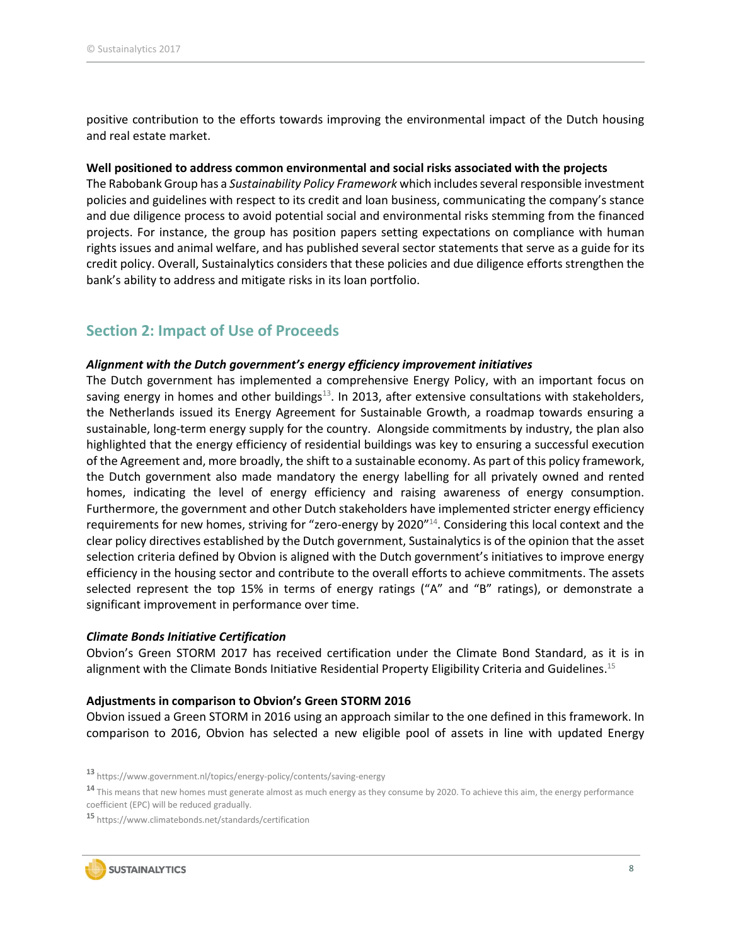positive contribution to the efforts towards improving the environmental impact of the Dutch housing and real estate market.

### **Well positioned to address common environmental and social risks associated with the projects**

The Rabobank Group has a *Sustainability Policy Framework* which includes several responsible investment policies and guidelines with respect to its credit and loan business, communicating the company's stance and due diligence process to avoid potential social and environmental risks stemming from the financed projects. For instance, the group has position papers setting expectations on compliance with human rights issues and animal welfare, and has published several sector statements that serve as a guide for its credit policy. Overall, Sustainalytics considers that these policies and due diligence efforts strengthen the bank's ability to address and mitigate risks in its loan portfolio.

### <span id="page-7-0"></span>**Section 2: Impact of Use of Proceeds**

### *Alignment with the Dutch government's energy efficiency improvement initiatives*

The Dutch government has implemented a comprehensive Energy Policy, with an important focus on saving energy in homes and other buildings<sup>13</sup>. In 2013, after extensive consultations with stakeholders, the Netherlands issued its Energy Agreement for Sustainable Growth, a roadmap towards ensuring a sustainable, long-term energy supply for the country. Alongside commitments by industry, the plan also highlighted that the energy efficiency of residential buildings was key to ensuring a successful execution of the Agreement and, more broadly, the shift to a sustainable economy. As part of this policy framework, the Dutch government also made mandatory the energy labelling for all privately owned and rented homes, indicating the level of energy efficiency and raising awareness of energy consumption. Furthermore, the government and other Dutch stakeholders have implemented stricter energy efficiency requirements for new homes, striving for "zero-energy by 2020"<sup>14</sup>. Considering this local context and the clear policy directives established by the Dutch government, Sustainalytics is of the opinion that the asset selection criteria defined by Obvion is aligned with the Dutch government's initiatives to improve energy efficiency in the housing sector and contribute to the overall efforts to achieve commitments. The assets selected represent the top 15% in terms of energy ratings ("A" and "B" ratings), or demonstrate a significant improvement in performance over time.

#### *Climate Bonds Initiative Certification*

Obvion's Green STORM 2017 has received certification under the Climate Bond Standard, as it is in alignment with the Climate Bonds Initiative Residential Property Eligibility Criteria and Guidelines.<sup>15</sup>

#### **Adjustments in comparison to Obvion's Green STORM 2016**

Obvion issued a Green STORM in 2016 using an approach similar to the one defined in this framework. In comparison to 2016, Obvion has selected a new eligible pool of assets in line with updated Energy

**<sup>15</sup>** https://www.climatebonds.net/standards/certification



**<sup>13</sup>** https://www.government.nl/topics/energy-policy/contents/saving-energy

<sup>&</sup>lt;sup>14</sup> This means that new homes must generate almost as much energy as they consume by 2020. To achieve this aim, the energy performance coefficient (EPC) will be reduced gradually.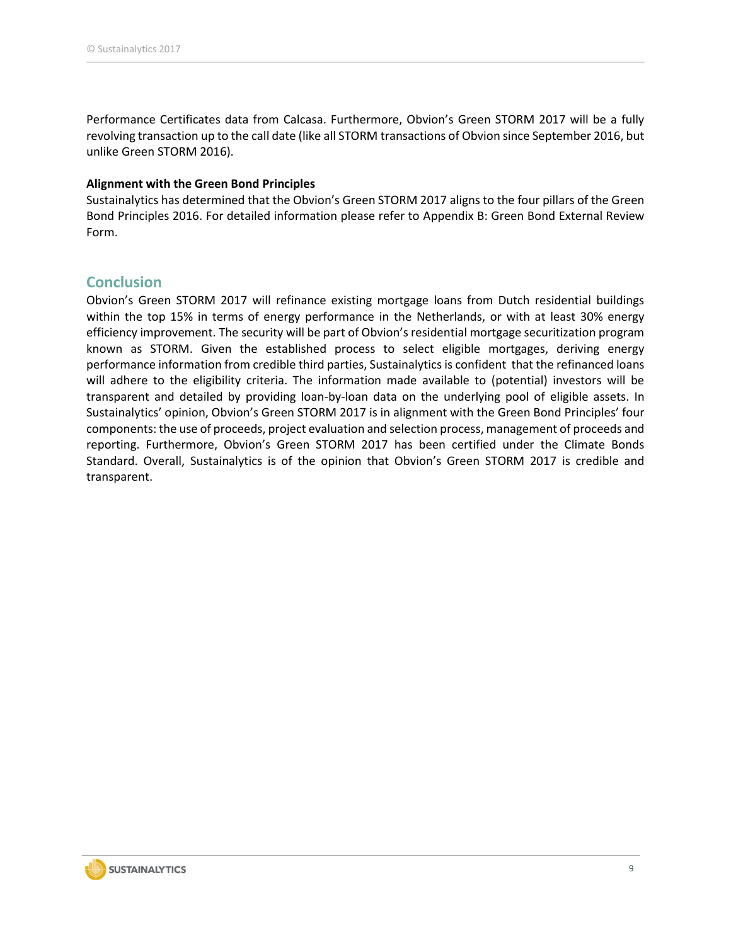Performance Certificates data from Calcasa. Furthermore, Obvion's Green STORM 2017 will be a fully revolving transaction up to the call date (like all STORM transactions of Obvion since September 2016, but unlike Green STORM 2016).

### **Alignment with the Green Bond Principles**

Sustainalytics has determined that the Obvion's Green STORM 2017 aligns to the four pillars of the Green Bond Principles 2016. For detailed information please refer to Appendix B: Green Bond External Review Form.

### <span id="page-8-0"></span>**Conclusion**

Obvion's Green STORM 2017 will refinance existing mortgage loans from Dutch residential buildings within the top 15% in terms of energy performance in the Netherlands, or with at least 30% energy efficiency improvement. The security will be part of Obvion's residential mortgage securitization program known as STORM. Given the established process to select eligible mortgages, deriving energy performance information from credible third parties, Sustainalytics is confident that the refinanced loans will adhere to the eligibility criteria. The information made available to (potential) investors will be transparent and detailed by providing loan-by-loan data on the underlying pool of eligible assets. In Sustainalytics' opinion, Obvion's Green STORM 2017 is in alignment with the Green Bond Principles' four components: the use of proceeds, project evaluation and selection process, management of proceeds and reporting. Furthermore, Obvion's Green STORM 2017 has been certified under the Climate Bonds Standard. Overall, Sustainalytics is of the opinion that Obvion's Green STORM 2017 is credible and transparent.

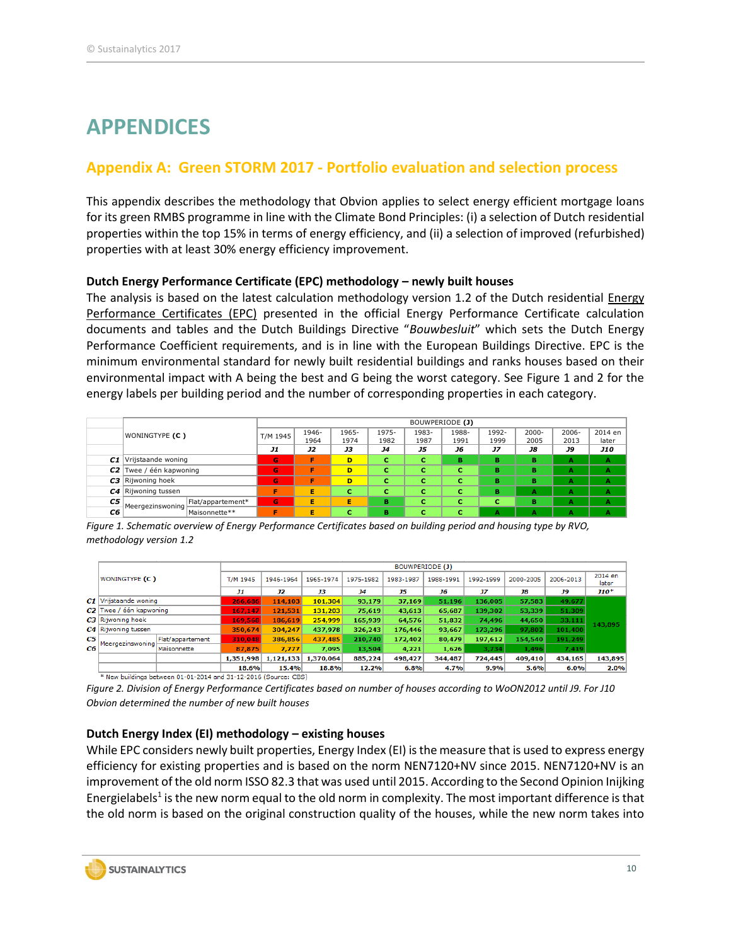## <span id="page-9-0"></span>**APPENDICES**

### **Appendix A: Green STORM 2017 - Portfolio evaluation and selection process**

This appendix describes the methodology that Obvion applies to select energy efficient mortgage loans for its green RMBS programme in line with the Climate Bond Principles: (i) a selection of Dutch residential properties within the top 15% in terms of energy efficiency, and (ii) a selection of improved (refurbished) properties with at least 30% energy efficiency improvement.

### **Dutch Energy Performance Certificate (EPC) methodology – newly built houses**

The analysis is based on the latest calculation methodology version 1.2 of the Dutch residential Energy Performance Certificates (EPC) presented in the official Energy Performance Certificate calculation documents and tables and the Dutch Buildings Directive "*Bouwbesluit*" which sets the Dutch Energy Performance Coefficient requirements, and is in line with the European Buildings Directive. EPC is the minimum environmental standard for newly built residential buildings and ranks houses based on their environmental impact with A being the best and G being the worst category. See Figure 1 and 2 for the energy labels per building period and the number of corresponding properties in each category.

|    |                                                                                                                  |                   | BOUWPERIODE (J) |       |       |           |       |       |           |           |          |            |
|----|------------------------------------------------------------------------------------------------------------------|-------------------|-----------------|-------|-------|-----------|-------|-------|-----------|-----------|----------|------------|
|    | WONINGTYPE (C)                                                                                                   |                   | T/M 1945        | 1946- | 1965- | 1975-     | 1983- | 1988- | 1992-     | $2000 -$  | $2006 -$ | 2014 en    |
|    |                                                                                                                  |                   |                 | 1964  | 1974  | 1982      | 1987  | 1991  | 1999      | 2005      | 2013     | later      |
|    |                                                                                                                  |                   | J1              | J2    | JЗ    | <b>J4</b> | J5    | J6    | <b>J7</b> | <b>J8</b> | J9       | <b>J10</b> |
|    | C1 Vrijstaande woning                                                                                            |                   | G               | F     | D     | с         | с     | в     | в         | в         | A        | A          |
| C2 | Twee / één kapwoning                                                                                             |                   | G               | F     | D     | c         | с     | с     | в         | в         | А        | A          |
|    | C3 Rijwoning hoek                                                                                                |                   | G               | F     | D     | c         | с     | c     | в         | в         | А        | A          |
|    | C4 Rijwoning tussen                                                                                              |                   | F               | E     | c     | c         | c     | с     | в         | A         | A        | A          |
|    | C5<br>Meergezinswoning<br>C6                                                                                     | Flat/appartement* | G               | E     | Е     | в         | с     | c     | с         | в         | A        | A          |
|    |                                                                                                                  | Maisonnette**     | F               | E     | c     | в         | c     | с     | А         | A         | А        | А          |
|    | Figure 1, Schamatic overview of Energy Performance Certificates based on building period and bousing type by PVO |                   |                 |       |       |           |       |       |           |           |          |            |

*Figure 1. Schematic overview of Energy Performance Certificates based on building period and housing type by RVO, methodology version 1.2*

|    |                           |                                                                 |           | <b>BOUWPERIODE (J)</b> |           |           |           |           |           |           |           |                  |  |
|----|---------------------------|-----------------------------------------------------------------|-----------|------------------------|-----------|-----------|-----------|-----------|-----------|-----------|-----------|------------------|--|
|    | WONINGTYPE (C)            |                                                                 | T/M 1945  | 1946-1964              | 1965-1974 | 1975-1982 | 1983-1987 | 1988-1991 | 1992-1999 | 2000-2005 | 2006-2013 | 2014 en<br>later |  |
|    |                           |                                                                 | J1        | <b>J2</b>              | <b>J3</b> | <b>J4</b> | J5        | J6        | J7        | J8        | <b>J9</b> | $J10*$           |  |
|    | C1 Vrijstaande woning     |                                                                 | 266,686   | 114,103                | 101,304   | 93,179    | 37,169    | 51,196    | 136,005   | 57,583    | 49,677    |                  |  |
|    | $C2$ Twee / één kapwoning |                                                                 | 167.147   | 121.531                | 131,203   | 75,619    | 43,613    | 65,687    | 139,302   | 53,339    | 51,309    |                  |  |
|    | C3 Rijwoning hoek         |                                                                 | 169.568   | 186,619                | 254,999   | 165,939   | 64,576    | 51,832    | 74.496    | 44,650    | 33,111    | 143.895          |  |
|    | C4 Rijwoning tussen       |                                                                 | 350.674   | 304,247                | 437,978   | 326,243   | 176,446   | 93,667    | 173,296   | 97,802    | 101,400   |                  |  |
| C5 | Meergezinswoning          | Flat/appartement                                                | 310,048   | 386,856                | 437,485   | 210,740   | 172,402   | 80,479    | 197,612   | 154,540   | 191,249   |                  |  |
| C6 |                           | Maisonnette                                                     | 87,875    | 7.777                  | 7,095     | 13,504    | 4,221     | 1,626     | 3.734     | 1,496     | 7,419     |                  |  |
|    |                           |                                                                 | 1,351,998 | 1,121,133              | 1,370,064 | 885,224   | 498,427   | 344,487   | 724,445   | 409,410   | 434,165   | 143,895          |  |
|    |                           |                                                                 | 18.6%     | 15.4%                  | 18.8%     | 12.2%     | 6.8%      | 4.7%      | 9.9%      | 5.6%      | 6.0%      | 2.0%             |  |
|    |                           | * New buildings between 01.01.2014 and 21.12.2016 (Courses CRC) |           |                        |           |           |           |           |           |           |           |                  |  |

01-01-2014 and 31-12-2016 (Source: CBS)

*Figure 2. Division of Energy Performance Certificates based on number of houses according to WoON2012 until J9. For J10 Obvion determined the number of new built houses*

### **Dutch Energy Index (EI) methodology – existing houses**

While EPC considers newly built properties, Energy Index (EI) is the measure that is used to express energy efficiency for existing properties and is based on the norm NEN7120+NV since 2015. NEN7120+NV is an improvement of the old norm ISSO 82.3 that was used until 2015. According to the Second Opinion Inijking Energielabels<sup>1</sup> is the new norm equal to the old norm in complexity. The most important difference is that the old norm is based on the original construction quality of the houses, while the new norm takes into

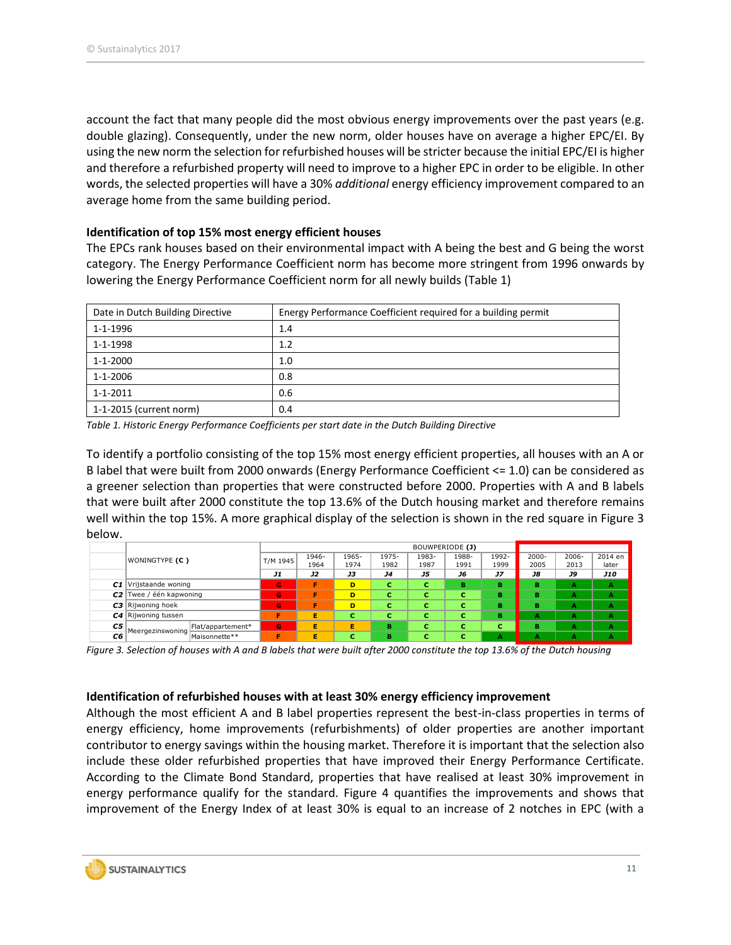account the fact that many people did the most obvious energy improvements over the past years (e.g. double glazing). Consequently, under the new norm, older houses have on average a higher EPC/EI. By using the new norm the selection for refurbished houses will be stricter because the initial EPC/EI is higher and therefore a refurbished property will need to improve to a higher EPC in order to be eligible. In other words, the selected properties will have a 30% *additional* energy efficiency improvement compared to an average home from the same building period.

### **Identification of top 15% most energy efficient houses**

The EPCs rank houses based on their environmental impact with A being the best and G being the worst category. The Energy Performance Coefficient norm has become more stringent from 1996 onwards by lowering the Energy Performance Coefficient norm for all newly builds (Table 1)

| Date in Dutch Building Directive | Energy Performance Coefficient required for a building permit |
|----------------------------------|---------------------------------------------------------------|
| 1-1-1996                         | 1.4                                                           |
| 1-1-1998                         | 1.2                                                           |
| $1 - 1 - 2000$                   | 1.0                                                           |
| 1-1-2006                         | 0.8                                                           |
| 1-1-2011                         | 0.6                                                           |
| 1-1-2015 (current norm)          | 0.4                                                           |

*Table 1. Historic Energy Performance Coefficients per start date in the Dutch Building Directive*

To identify a portfolio consisting of the top 15% most energy efficient properties, all houses with an A or B label that were built from 2000 onwards (Energy Performance Coefficient <= 1.0) can be considered as a greener selection than properties that were constructed before 2000. Properties with A and B labels that were built after 2000 constitute the top 13.6% of the Dutch housing market and therefore remains well within the top 15%. A more graphical display of the selection is shown in the red square in Figure 3 below.

| below.         |                                                                                                                            |                   |          |                 |       |           |       |       |       |          |          |            |
|----------------|----------------------------------------------------------------------------------------------------------------------------|-------------------|----------|-----------------|-------|-----------|-------|-------|-------|----------|----------|------------|
|                | WONINGTYPE (C)                                                                                                             |                   |          | BOUWPERIODE (J) |       |           |       |       |       |          |          |            |
|                |                                                                                                                            |                   | T/M 1945 | 1946-           | 1965- | 1975-     | 1983- | 1988- | 1992- | $2000 -$ | $2006 -$ | 2014 en    |
|                |                                                                                                                            |                   |          | 1964            | 1974  | 1982      | 1987  | 1991  | 1999  | 2005     | 2013     | later      |
|                |                                                                                                                            |                   | J1       | J2              | JЗ    | <b>J4</b> | J5    | J6    | JZ    | J8       | J9       | <b>J10</b> |
| C1             | Vrijstaande woning                                                                                                         |                   | G        | F               | D     | с         | с     | в     | в     | в        | A        | A          |
| C <sub>2</sub> | Twee / één kapwoning                                                                                                       |                   | G        | F               | D     | c         | c     | c     | в     | в        | А        | A          |
|                | C3 Rijwoning hoek                                                                                                          |                   | G        | F               | D     | c         | C     | c     | в     | в        | А        | A          |
|                | C4 Rijwoning tussen                                                                                                        |                   | F        | Е               | c     | c         | c     | с     | в     | А        | А        | A          |
| C5             | Meergezinswoning<br>C6                                                                                                     | Flat/appartement* | G        | Е               | Е     | в         | c     | c     | c     | в        | А        | A          |
|                |                                                                                                                            | Maisonnette**     | F        | Е               | c     | в         | c     | c     | А     | А        | А        | A          |
|                | Figure 2, Selection of houses with A and B labels that were built after 2000 constitute the top 12.6% of the Dutch housing |                   |          |                 |       |           |       |       |       |          |          |            |

*Figure 3. Selection of houses with A and B labels that were built after 2000 constitute the top 13.6% of the Dutch housing*

### **Identification of refurbished houses with at least 30% energy efficiency improvement**

Although the most efficient A and B label properties represent the best-in-class properties in terms of energy efficiency, home improvements (refurbishments) of older properties are another important contributor to energy savings within the housing market. Therefore it is important that the selection also include these older refurbished properties that have improved their Energy Performance Certificate. According to the Climate Bond Standard, properties that have realised at least 30% improvement in energy performance qualify for the standard. Figure 4 quantifies the improvements and shows that improvement of the Energy Index of at least 30% is equal to an increase of 2 notches in EPC (with a

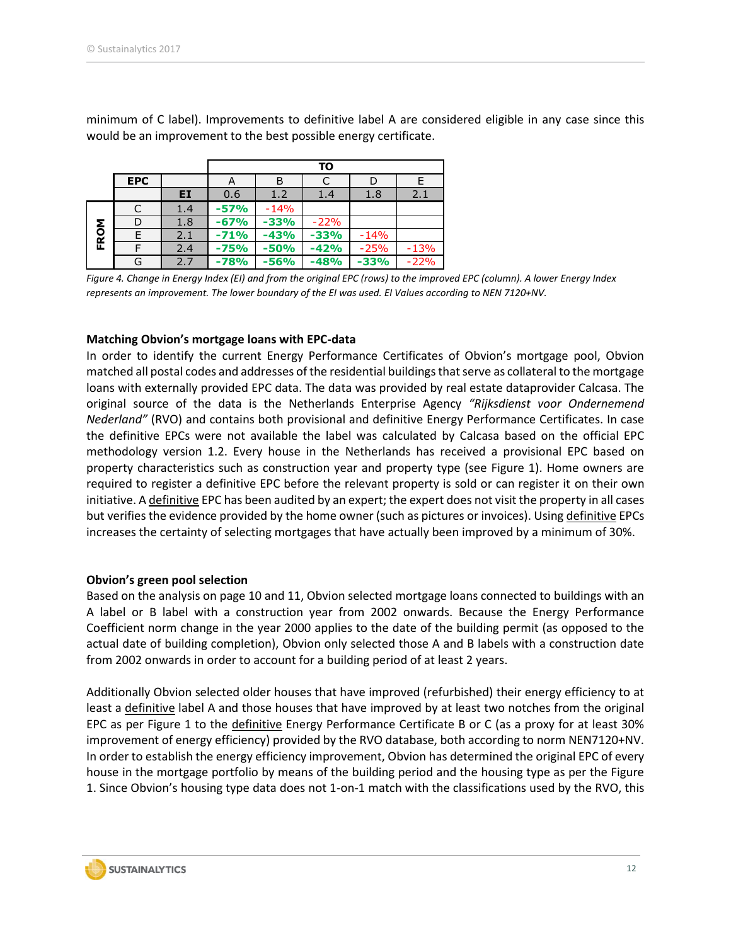minimum of C label). Improvements to definitive label A are considered eligible in any case since this would be an improvement to the best possible energy certificate.

|            |            |     |        |        | ΤО     |        |        |
|------------|------------|-----|--------|--------|--------|--------|--------|
|            | <b>EPC</b> |     | А      | В      | C      | D      | E      |
|            |            | EI  | 0.6    | 1.2    | 1.4    | 1.8    | 2.1    |
|            |            | 1.4 | $-57%$ | $-14%$ |        |        |        |
|            | D          | 1.8 | $-67%$ | $-33%$ | $-22%$ |        |        |
| <b>ROM</b> |            | 2.1 | $-71%$ | $-43%$ | $-33%$ | $-14%$ |        |
| 正          |            | 2.4 | $-75%$ | $-50%$ | $-42%$ | $-25%$ | $-13%$ |
|            | G          | 2.7 | $-78%$ | $-56%$ | $-48%$ | $-33%$ | $-22%$ |

*Figure 4. Change in Energy Index (EI) and from the original EPC (rows) to the improved EPC (column). A lower Energy Index represents an improvement. The lower boundary of the EI was used. EI Values according to NEN 7120+NV.*

### **Matching Obvion's mortgage loans with EPC-data**

In order to identify the current Energy Performance Certificates of Obvion's mortgage pool, Obvion matched all postal codes and addresses of the residential buildings that serve as collateral to the mortgage loans with externally provided EPC data. The data was provided by real estate dataprovider Calcasa. The original source of the data is the Netherlands Enterprise Agency *"Rijksdienst voor Ondernemend Nederland"* (RVO) and contains both provisional and definitive Energy Performance Certificates. In case the definitive EPCs were not available the label was calculated by Calcasa based on the official EPC methodology version 1.2. Every house in the Netherlands has received a provisional EPC based on property characteristics such as construction year and property type (see Figure 1). Home owners are required to register a definitive EPC before the relevant property is sold or can register it on their own initiative. A definitive EPC has been audited by an expert; the expert does not visit the property in all cases but verifies the evidence provided by the home owner (such as pictures or invoices). Using definitive EPCs increases the certainty of selecting mortgages that have actually been improved by a minimum of 30%.

### **Obvion's green pool selection**

Based on the analysis on page 10 and 11, Obvion selected mortgage loans connected to buildings with an A label or B label with a construction year from 2002 onwards. Because the Energy Performance Coefficient norm change in the year 2000 applies to the date of the building permit (as opposed to the actual date of building completion), Obvion only selected those A and B labels with a construction date from 2002 onwards in order to account for a building period of at least 2 years.

Additionally Obvion selected older houses that have improved (refurbished) their energy efficiency to at least a definitive label A and those houses that have improved by at least two notches from the original EPC as per Figure 1 to the definitive Energy Performance Certificate B or C (as a proxy for at least 30% improvement of energy efficiency) provided by the RVO database, both according to norm NEN7120+NV. In order to establish the energy efficiency improvement, Obvion has determined the original EPC of every house in the mortgage portfolio by means of the building period and the housing type as per the Figure 1. Since Obvion's housing type data does not 1-on-1 match with the classifications used by the RVO, this

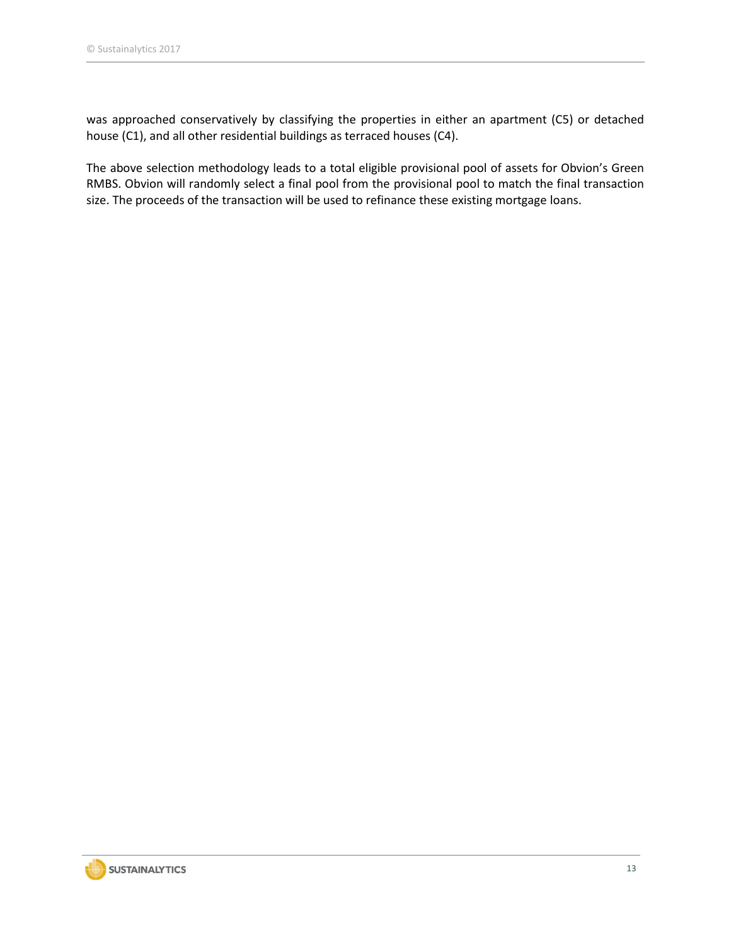was approached conservatively by classifying the properties in either an apartment (C5) or detached house (C1), and all other residential buildings as terraced houses (C4).

The above selection methodology leads to a total eligible provisional pool of assets for Obvion's Green RMBS. Obvion will randomly select a final pool from the provisional pool to match the final transaction size. The proceeds of the transaction will be used to refinance these existing mortgage loans.

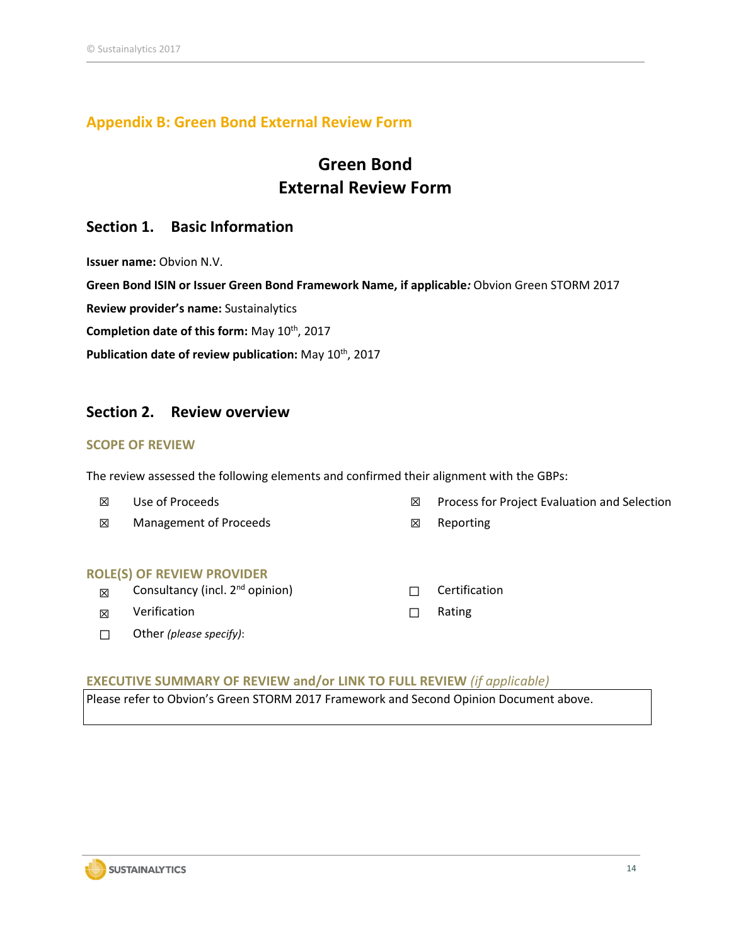### **Appendix B: Green Bond External Review Form**

### **Green Bond External Review Form**

### **Section 1. Basic Information**

**Issuer name:** Obvion N.V.

**Green Bond ISIN or Issuer Green Bond Framework Name, if applicable***:* Obvion Green STORM 2017

**Review provider's name:** Sustainalytics

**Completion date of this form:** May 10th, 2017

Publication date of review publication: May 10<sup>th</sup>, 2017

### **Section 2. Review overview**

### **SCOPE OF REVIEW**

The review assessed the following elements and confirmed their alignment with the GBPs:

- ☒ Use of Proceeds ☒ Process for Project Evaluation and Selection
- **⊠** Management of Proceeds **DESA Reporting**

#### **ROLE(S) OF REVIEW PROVIDER**

- **⊠** Consultancy (incl. 2<sup>nd</sup> opinion) □ □ Certification
- **<del>I</del>** Verification **◯ Rating**
- ☐ Other *(please specify)*:

- 
- 
- 

### **EXECUTIVE SUMMARY OF REVIEW and/or LINK TO FULL REVIEW** *(if applicable)*

Please refer to Obvion's Green STORM 2017 Framework and Second Opinion Document above.

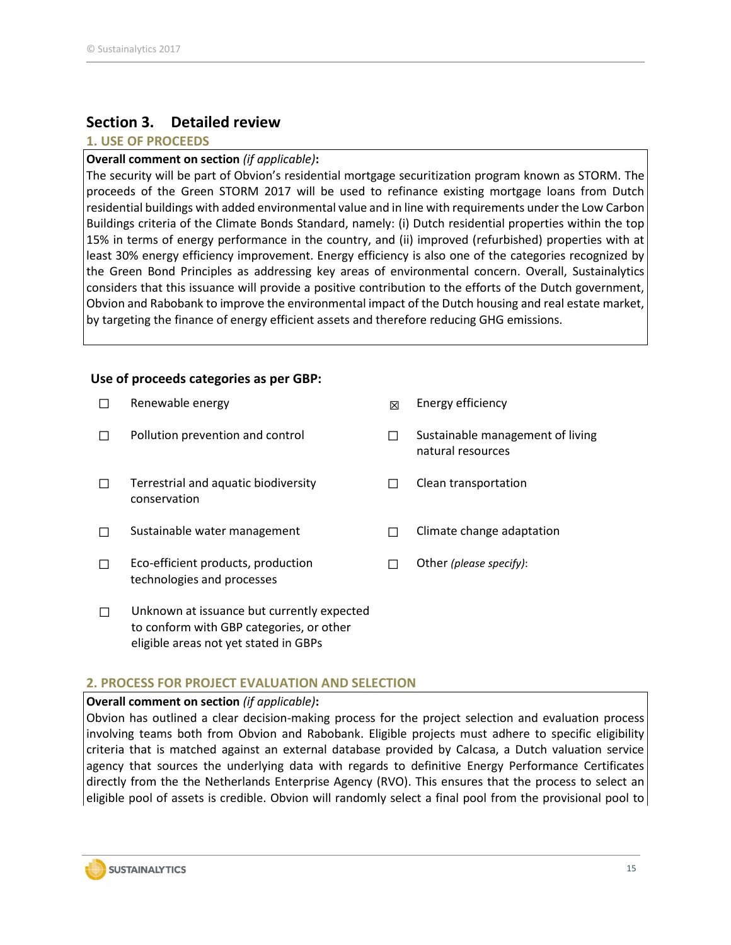### **Section 3. Detailed review**

### **1. USE OF PROCEEDS**

### **Overall comment on section** *(if applicable)***:**

The security will be part of Obvion's residential mortgage securitization program known as STORM. The proceeds of the Green STORM 2017 will be used to refinance existing mortgage loans from Dutch residential buildings with added environmental value and in line with requirements under the Low Carbon Buildings criteria of the Climate Bonds Standard, namely: (i) Dutch residential properties within the top 15% in terms of energy performance in the country, and (ii) improved (refurbished) properties with at least 30% energy efficiency improvement. Energy efficiency is also one of the categories recognized by the Green Bond Principles as addressing key areas of environmental concern. Overall, Sustainalytics considers that this issuance will provide a positive contribution to the efforts of the Dutch government, Obvion and Rabobank to improve the environmental impact of the Dutch housing and real estate market, by targeting the finance of energy efficient assets and therefore reducing GHG emissions.

### **Use of proceeds categories as per GBP:**

| Renewable energy                                                                       | ⊠  | Energy efficiency                                     |
|----------------------------------------------------------------------------------------|----|-------------------------------------------------------|
| Pollution prevention and control                                                       | ΙI | Sustainable management of living<br>natural resources |
| Terrestrial and aquatic biodiversity<br>conservation                                   |    | Clean transportation                                  |
| Sustainable water management                                                           |    | Climate change adaptation                             |
| Eco-efficient products, production<br>technologies and processes                       |    | Other (please specify):                               |
| Unknown at issuance but currently expected<br>to conform with GBP categories, or other |    |                                                       |

### **2. PROCESS FOR PROJECT EVALUATION AND SELECTION**

eligible areas not yet stated in GBPs

### **Overall comment on section** *(if applicable)***:**

Obvion has outlined a clear decision-making process for the project selection and evaluation process involving teams both from Obvion and Rabobank. Eligible projects must adhere to specific eligibility criteria that is matched against an external database provided by Calcasa, a Dutch valuation service agency that sources the underlying data with regards to definitive Energy Performance Certificates directly from the the Netherlands Enterprise Agency (RVO). This ensures that the process to select an eligible pool of assets is credible. Obvion will randomly select a final pool from the provisional pool to

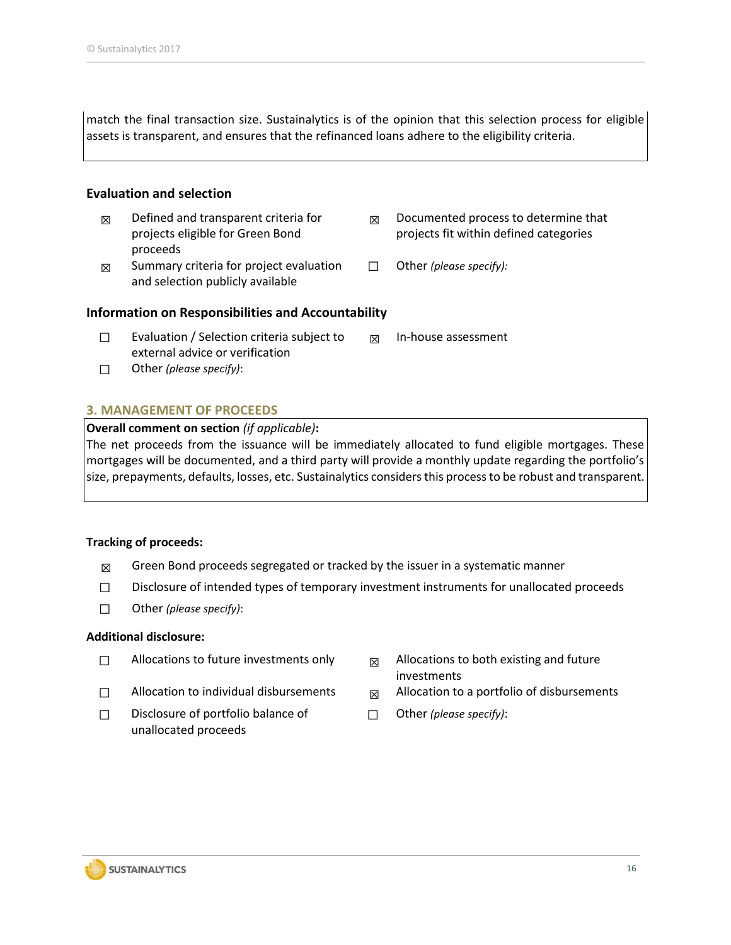match the final transaction size. Sustainalytics is of the opinion that this selection process for eligible assets is transparent, and ensures that the refinanced loans adhere to the eligibility criteria.

### **Evaluation and selection**

- $\boxtimes$  Defined and transparent criteria for projects eligible for Green Bond proceeds
- $<sub>Q</sub>$  Summary criteria for project evaluation</sub> and selection publicly available
- $<sub>Q</sub>$  Documented process to determine that</sub> projects fit within defined categories
- ☐ Other *(please specify):*

### **Information on Responsibilities and Accountability**

- ☐ Evaluation / Selection criteria subject to external advice or verification ☒ In-house assessment
- ☐ Other *(please specify)*:

### **3. MANAGEMENT OF PROCEEDS**

### **Overall comment on section** *(if applicable)***:**

The net proceeds from the issuance will be immediately allocated to fund eligible mortgages. These mortgages will be documented, and a third party will provide a monthly update regarding the portfolio's size, prepayments, defaults, losses, etc. Sustainalytics considers this process to be robust and transparent.

### **Tracking of proceeds:**

- $\boxtimes$  Green Bond proceeds segregated or tracked by the issuer in a systematic manner
- ☐ Disclosure of intended types of temporary investment instruments for unallocated proceeds
- ☐ Other *(please specify)*:

### **Additional disclosure:**

- $\Box$  Allocations to future investments only  $\Box$  Allocations to both existing and future
- 
- ☐ Disclosure of portfolio balance of unallocated proceeds
- investments
- $\Box$  Allocation to individual disbursements  $\Box$  Allocation to a portfolio of disbursements
	- ☐ Other *(please specify)*:

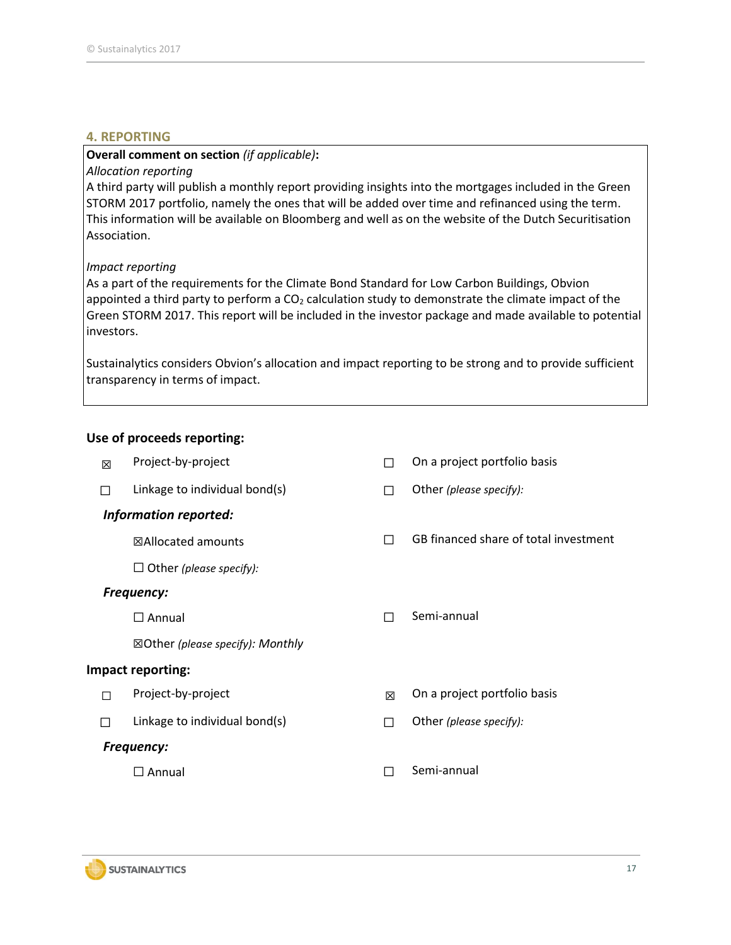### **4. REPORTING**

### **Overall comment on section** *(if applicable)***:**

### *Allocation reporting*

A third party will publish a monthly report providing insights into the mortgages included in the Green STORM 2017 portfolio, namely the ones that will be added over time and refinanced using the term. This information will be available on Bloomberg and well as on the website of the Dutch Securitisation Association.

### *Impact reporting*

As a part of the requirements for the Climate Bond Standard for Low Carbon Buildings, Obvion appointed a third party to perform a  $CO<sub>2</sub>$  calculation study to demonstrate the climate impact of the Green STORM 2017. This report will be included in the investor package and made available to potential investors.

Sustainalytics considers Obvion's allocation and impact reporting to be strong and to provide sufficient transparency in terms of impact.

### **Use of proceeds reporting:**

| 冈 | Project-by-project                          |   | On a project portfolio basis          |
|---|---------------------------------------------|---|---------------------------------------|
| П | Linkage to individual bond(s)               |   | Other (please specify):               |
|   | <b>Information reported:</b>                |   |                                       |
|   | ⊠Allocated amounts                          | П | GB financed share of total investment |
|   | $\Box$ Other (please specify):              |   |                                       |
|   | <b>Frequency:</b>                           |   |                                       |
|   | $\Box$ Annual                               |   | Semi-annual                           |
|   | $\boxtimes$ Other (please specify): Monthly |   |                                       |
|   | <b>Impact reporting:</b>                    |   |                                       |
| П | Project-by-project                          | 冈 | On a project portfolio basis          |
| П | Linkage to individual bond(s)               | П | Other (please specify):               |
|   | <b>Frequency:</b>                           |   |                                       |
|   | $\Box$ Annual                               |   | Semi-annual                           |
|   |                                             |   |                                       |

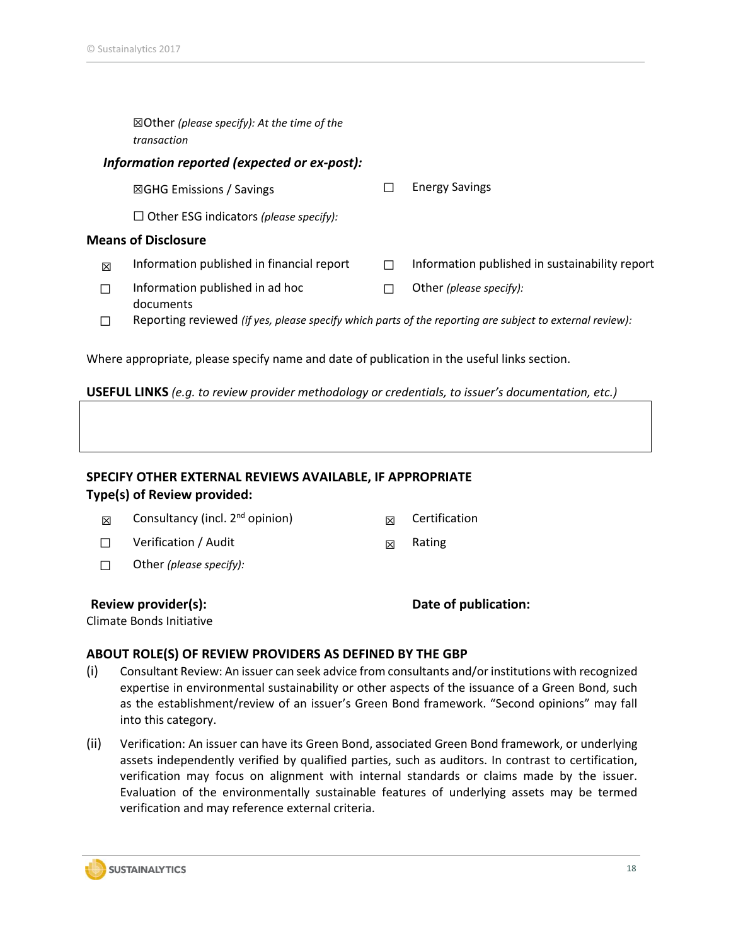|   | $\boxtimes$ Other (please specify): At the time of the<br>transaction                                    |   |                                                |  |  |  |  |  |  |  |
|---|----------------------------------------------------------------------------------------------------------|---|------------------------------------------------|--|--|--|--|--|--|--|
|   | Information reported (expected or ex-post):                                                              |   |                                                |  |  |  |  |  |  |  |
|   | $\boxtimes$ GHG Emissions / Savings                                                                      |   | <b>Energy Savings</b>                          |  |  |  |  |  |  |  |
|   | $\Box$ Other ESG indicators (please specify):                                                            |   |                                                |  |  |  |  |  |  |  |
|   | <b>Means of Disclosure</b>                                                                               |   |                                                |  |  |  |  |  |  |  |
| 冈 | Information published in financial report                                                                | H | Information published in sustainability report |  |  |  |  |  |  |  |
|   | Information published in ad hoc<br>documents                                                             |   | Other (please specify):                        |  |  |  |  |  |  |  |
|   | Reporting reviewed (if yes, please specify which parts of the reporting are subject to external review): |   |                                                |  |  |  |  |  |  |  |

**USEFUL LINKS** *(e.g. to review provider methodology or credentials, to issuer's documentation, etc.)*

Where appropriate, please specify name and date of publication in the useful links section.

### **SPECIFY OTHER EXTERNAL REVIEWS AVAILABLE, IF APPROPRIATE Type(s) of Review provided:**

| 冈 | Consultancy (incl. 2 <sup>nd</sup> opinion) |  | Certification |
|---|---------------------------------------------|--|---------------|
|---|---------------------------------------------|--|---------------|

- □ Verification / Audit  $□$  Rating
- ☐ Other *(please specify):*

**Review provider(s): Date of publication:** 

Climate Bonds Initiative

### **ABOUT ROLE(S) OF REVIEW PROVIDERS AS DEFINED BY THE GBP**

- (i) Consultant Review: An issuer can seek advice from consultants and/or institutions with recognized expertise in environmental sustainability or other aspects of the issuance of a Green Bond, such as the establishment/review of an issuer's Green Bond framework. "Second opinions" may fall into this category.
- (ii) Verification: An issuer can have its Green Bond, associated Green Bond framework, or underlying assets independently verified by qualified parties, such as auditors. In contrast to certification, verification may focus on alignment with internal standards or claims made by the issuer. Evaluation of the environmentally sustainable features of underlying assets may be termed verification and may reference external criteria.



18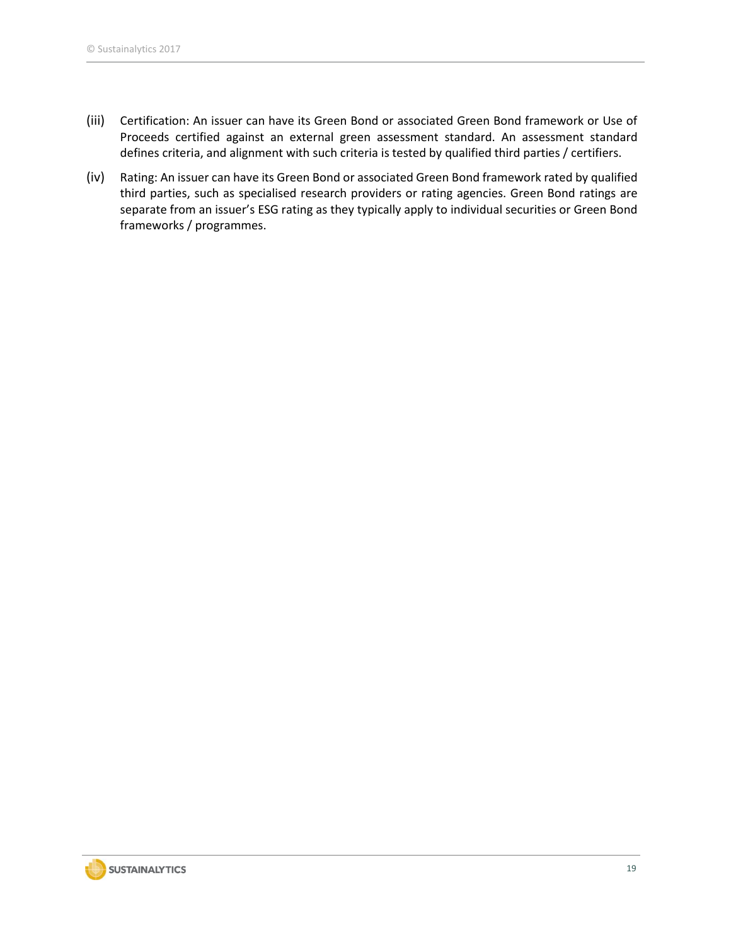- (iii) Certification: An issuer can have its Green Bond or associated Green Bond framework or Use of Proceeds certified against an external green assessment standard. An assessment standard defines criteria, and alignment with such criteria is tested by qualified third parties / certifiers.
- <span id="page-18-0"></span>(iv) Rating: An issuer can have its Green Bond or associated Green Bond framework rated by qualified third parties, such as specialised research providers or rating agencies. Green Bond ratings are separate from an issuer's ESG rating as they typically apply to individual securities or Green Bond frameworks / programmes.